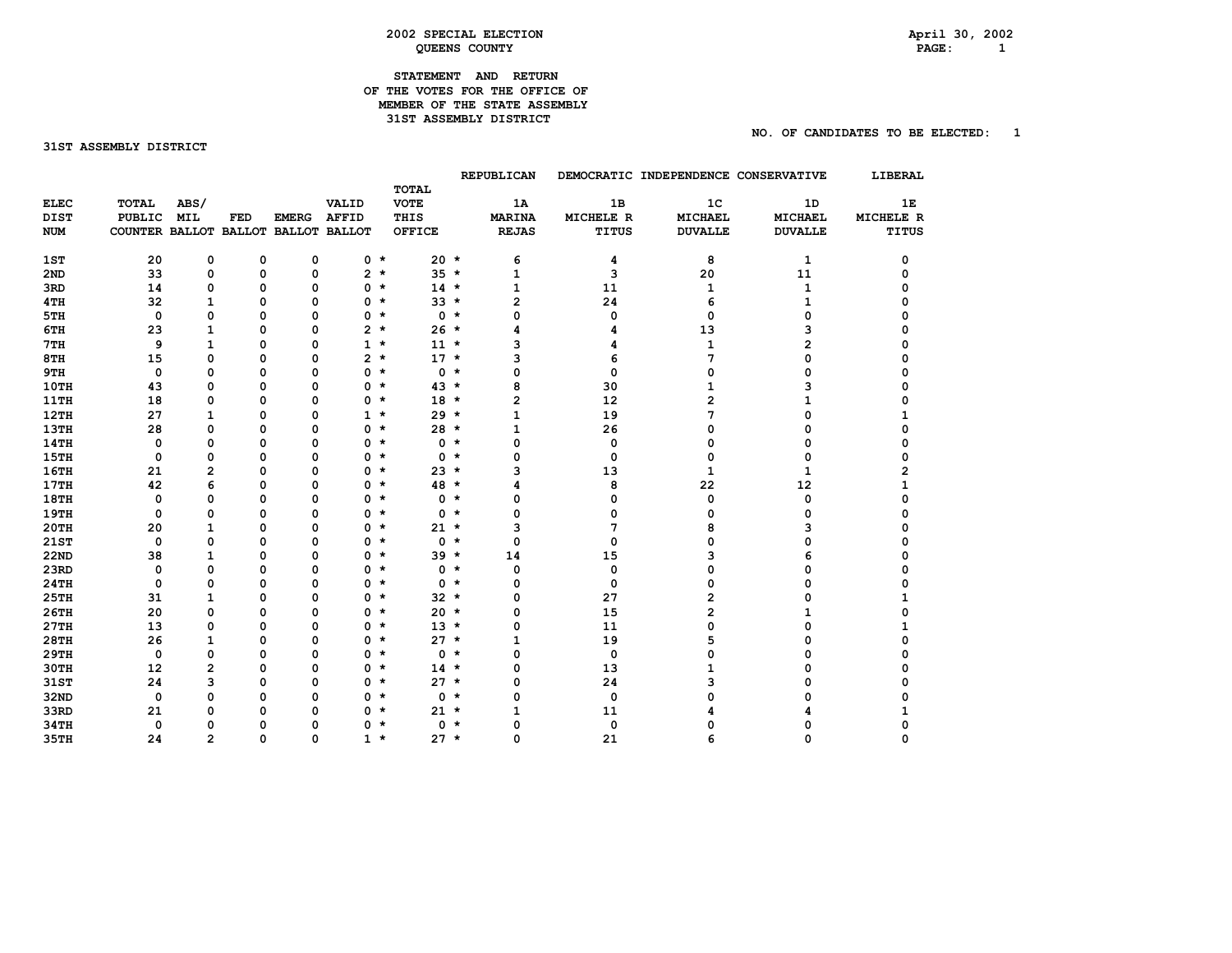#### **2002 SPECIAL ELECTION April 30, 2002 QUEENS COUNTY**

# **STATEMENT AND RETURN**

 **REPUBLICAN DEMOCRATIC INDEPENDENCE CONSERVATIVE LIBERAL** 

## 31ST ASSEMBLY DISTRICT

| SIAILMLNI AND REIURN           |  |
|--------------------------------|--|
| OF THE VOTES FOR THE OFFICE OF |  |
| MEMBER OF THE STATE ASSEMBLY   |  |
| 31ST ASSEMBLY DISTRICT         |  |
|                                |  |

|             |                                     |                |             |              |              | <b>TOTAL</b>  |         |               |           |                |                |           |
|-------------|-------------------------------------|----------------|-------------|--------------|--------------|---------------|---------|---------------|-----------|----------------|----------------|-----------|
| <b>ELEC</b> | <b>TOTAL</b>                        | ABS/           |             |              | VALID        | <b>VOTE</b>   |         | 1A            | 1B        | 1 <sup>c</sup> | 1D             | 1E        |
| <b>DIST</b> | <b>PUBLIC</b>                       | <b>MIL</b>     | FED         | <b>EMERG</b> | <b>AFFID</b> | THIS          |         | <b>MARINA</b> | MICHELE R | <b>MICHAEL</b> | MICHAEL        | MICHELE R |
| <b>NUM</b>  | COUNTER BALLOT BALLOT BALLOT BALLOT |                |             |              |              | <b>OFFICE</b> |         | <b>REJAS</b>  | TITUS     | <b>DUVALLE</b> | <b>DUVALLE</b> | TITUS     |
| 1ST         | 20                                  | 0              | 0           | 0            | $0 *$        |               | $20 *$  | 6             | 4         | 8              | 1              | 0         |
| 2ND         | 33                                  | 0              | 0           | 0            | 2            | $\star$       | $35 *$  | 1             | 3         | 20             | 11             | 0         |
| 3RD         | 14                                  | 0              | 0           | 0            | 0            | $\star$       | $14 *$  | 1             | 11        | 1              | 1              |           |
| 4TH         | 32                                  | 1              | 0           | 0            | 0            | $\star$       | $33 *$  | 2             | 24        | 6              | 1              | n         |
| 5TH         | $\mathbf 0$                         | 0              | 0           | $\Omega$     | 0            | $\star$       | $0 *$   | 0             | 0         | 0              | 0              |           |
| 6TH         | 23                                  | 1              | 0           | $\Omega$     | 2            | $\star$       | $26 *$  | 4             | 4         | 13             | 3              |           |
| 7TH         | 9                                   | $\mathbf{1}$   | 0           | $\Omega$     | $\mathbf{1}$ | $\star$       | $11 *$  | 3             | 4         | $\mathbf{1}$   | 2              |           |
| 8TH         | 15                                  | 0              | 0           | $\Omega$     | $\mathbf{2}$ | $\star$       | $17 *$  | 3             | 6         | 7              | 0              |           |
| 9TH         | 0                                   | 0              | 0           | $\Omega$     | 0            | $\star$       | $0 *$   | 0             | 0         | 0              | 0              |           |
| 10TH        | 43                                  | 0              | 0           | 0            | 0            | $\star$       | $43 *$  | 8             | 30        | 1              | з              |           |
| <b>11TH</b> | 18                                  | 0              | 0           | 0            | 0            | $\star$       | $18 *$  | 2             | 12        | 2              |                |           |
| 12TH        | 27                                  | $\mathbf{1}$   | 0           | 0            | $\mathbf{1}$ | $\star$       | $29 *$  | 1             | 19        | 7              | 0              |           |
| <b>13TH</b> | 28                                  | 0              | 0           | 0            | 0            | $\star$       | $28 *$  | 1             | 26        | 0              | 0              | n         |
| 14TH        | $\mathbf 0$                         | 0              | 0           | 0            | 0            | $\star$       | $0 *$   | 0             | 0         | 0              | 0              | 0         |
| <b>15TH</b> | $\mathbf 0$                         | 0              | 0           | 0            | 0            | $\star$       | $0 *$   | 0             | 0         | 0              | 0              | 0         |
| <b>16TH</b> | 21                                  | $\overline{a}$ | 0           | 0            | 0            | $\star$       | $23 *$  | з             | 13        | 1              | 1              | 2         |
| 17TH        | 42                                  | 6              | 0           | 0            | 0            | $\star$       | 48 *    | 4             | 8         | 22             | 12             |           |
| <b>18TH</b> | 0                                   | 0              | 0           | $\Omega$     | 0            | $\star$       | $0$ $*$ | 0             | 0         | 0              | 0              | ŋ         |
| 19TH        | 0                                   | 0              | 0           | $\Omega$     | 0            | $\star$       | $0 *$   | 0             | 0         | 0              | 0              |           |
| 20TH        | 20                                  | $\mathbf{1}$   | 0           | $\Omega$     | 0            | $\star$       | $21 *$  | 3             | 7         | 8              | з              | ი         |
| 21ST        | $\mathbf 0$                         | 0              | 0           | 0            | 0            | $\star$       | $0 *$   | 0             | 0         | 0              | O              |           |
| <b>22ND</b> | 38                                  | 1              | 0           | 0            | 0            | $\star$       | $39 *$  | 14            | 15        | 3              | 6              |           |
| 23RD        | $\mathbf 0$                         | 0              | 0           | 0            | 0            | $\star$       | $0 *$   | 0             | 0         | 0              | 0              |           |
| <b>24TH</b> | 0                                   | 0              | $\Omega$    | 0            | 0            | $\star$       | $0 *$   | 0             | 0         | 0              | 0              |           |
| <b>25TH</b> | 31                                  | $\mathbf{1}$   | 0           | 0            | 0            | $\star$       | $32 *$  | 0             | 27        | 2              | 0              |           |
| <b>26TH</b> | 20                                  | 0              | $\Omega$    | $\Omega$     | 0            | $\star$       | $20 *$  | 0             | 15        | 2              | 1              |           |
| 27TH        | 13                                  | 0              | 0           | $\Omega$     | 0            | $\star$       | $13 *$  | 0             | 11        | 0              | 0              |           |
| 28TH        | 26                                  | $\mathbf{1}$   | 0           | 0            | 0            | $\star$       | $27 *$  | 1             | 19        | 5              | O              | ი         |
| 29TH        | $\mathbf 0$                         | 0              | $\Omega$    | 0            | 0            | $\star$       | $0 *$   | 0             | 0         | 0              | 0              |           |
| <b>30TH</b> | 12                                  | 2              | $\mathbf 0$ | 0            | 0            | $\star$       | $14 *$  | 0             | 13        | 1              | O              |           |
| 31ST        | 24                                  | 3              | 0           | $\Omega$     | 0            | $\star$       | $27 *$  | 0             | 24        | 3              | O              |           |
| <b>32ND</b> | $\mathbf 0$                         | 0              | 0           | 0            | 0            | $\star$       | $0 *$   | 0             | 0         | 0              | O              |           |
| 33RD        | 21                                  | 0              | 0           | 0            | 0            | $\star$       | $21 *$  | 1             | 11        |                |                |           |
| <b>34TH</b> | $\mathbf 0$                         | 0              | 0           | 0            | 0            | $\star$       | $0 *$   | 0             | 0         | n              | O              |           |
| 35TH        | 24                                  | $\mathfrak{p}$ | $\Omega$    | $\Omega$     | $\mathbf{1}$ | $\star$       | $27 *$  | $\Omega$      | 21        | ħ              | ŋ              |           |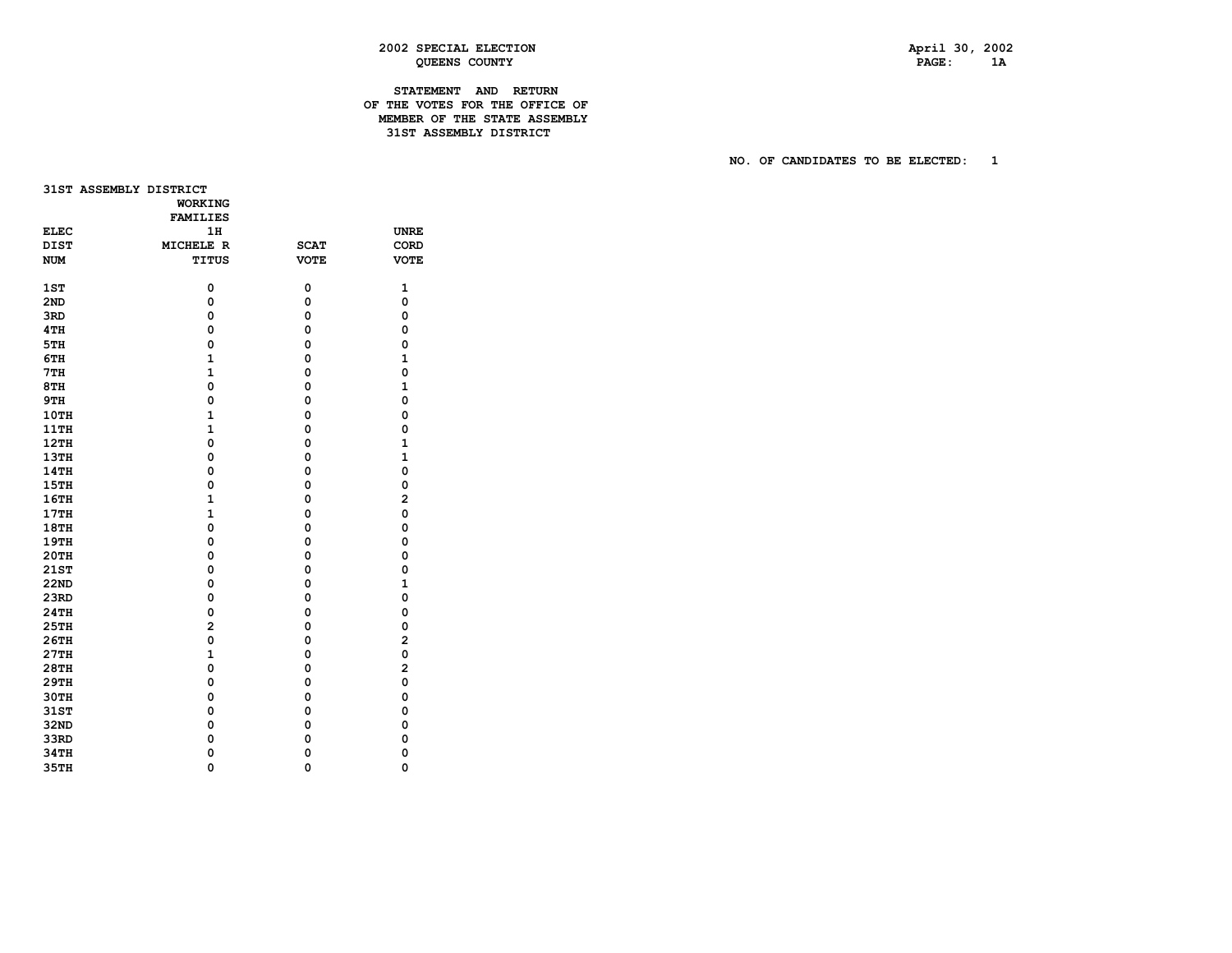## **2002 SPECIAL ELECTION April 30, 2002 QUEENS COUNTY PAGE: 1A**

## **STATEMENT AND RETURN OF THE VOTES FOR THE OFFICE OF MEMBER OF THE STATE ASSEMBLY 31STASSEMBLY DISTRICT**

|             | 31ST ASSEMBLY DISTRICT | <b>WORKING</b>  |             |                         |
|-------------|------------------------|-----------------|-------------|-------------------------|
|             |                        | <b>FAMILIES</b> |             |                         |
| <b>ELEC</b> |                        | 1H              |             | <b>UNRE</b>             |
| <b>DIST</b> |                        | MICHELE R       | <b>SCAT</b> | CORD                    |
| <b>NUM</b>  |                        | TITUS           | <b>VOTE</b> | <b>VOTE</b>             |
| 1ST         |                        | 0               | 0           | 1                       |
| 2ND         |                        | 0               | 0           | 0                       |
| 3RD         |                        | 0               | 0           | 0                       |
| 4TH         |                        | 0               | 0           | 0                       |
| 5TH         |                        | $\mathbf 0$     | 0           | 0                       |
| 6TH         |                        | $\mathbf{1}$    | 0           | $\mathbf{1}$            |
| 7TH         |                        | $\mathbf{1}$    | 0           | 0                       |
| 8TH         |                        | 0               | 0           | $\mathbf{1}$            |
| 9TH         |                        | 0               | 0           | $\mathbf 0$             |
| 10TH        |                        | $\mathbf{1}$    | 0           | 0                       |
| 11TH        |                        | $\mathbf{1}$    | 0           | 0                       |
| 12TH        |                        | 0               | 0           | 1                       |
| 13TH        |                        | 0               | 0           | $\mathbf{1}$            |
| 14TH        |                        | 0               | 0           | 0                       |
| 15TH        |                        | 0               | 0           | $\mathbf 0$             |
| 16TH        |                        | $\mathbf{1}$    | 0           | $\overline{a}$          |
| 17TH        |                        | $\mathbf{1}$    | 0           | 0                       |
| 18TH        |                        | 0               | 0           | 0                       |
| 19TH        |                        | 0               | 0           | 0                       |
| <b>20TH</b> |                        | 0               | 0           | 0                       |
| 21ST        |                        | 0               | 0           | 0                       |
| 22ND        |                        | 0               | 0           | $\mathbf{1}$            |
| 23RD        |                        | 0               | 0           | $\mathbf 0$             |
| 24TH        |                        | 0               | 0           | 0                       |
| 25TH        |                        | $\overline{a}$  | 0           | 0                       |
| 26TH        |                        | 0               | 0           | $\overline{\mathbf{c}}$ |
| 27TH        |                        | $\mathbf{1}$    | 0           | 0                       |
| <b>28TH</b> |                        | 0               | 0           | $\overline{a}$          |
| 29TH        |                        | 0               | 0           | 0                       |
| 30TH        |                        | 0               | 0           | 0                       |
| 31ST        |                        | 0               | 0           | 0                       |
| 32ND        |                        | 0               | 0           | 0                       |
| 33RD        |                        | 0               | 0           | 0                       |
| 34TH        |                        | 0               | 0           | $\mathbf 0$             |
| <b>35TH</b> |                        | 0               | $\Omega$    | 0                       |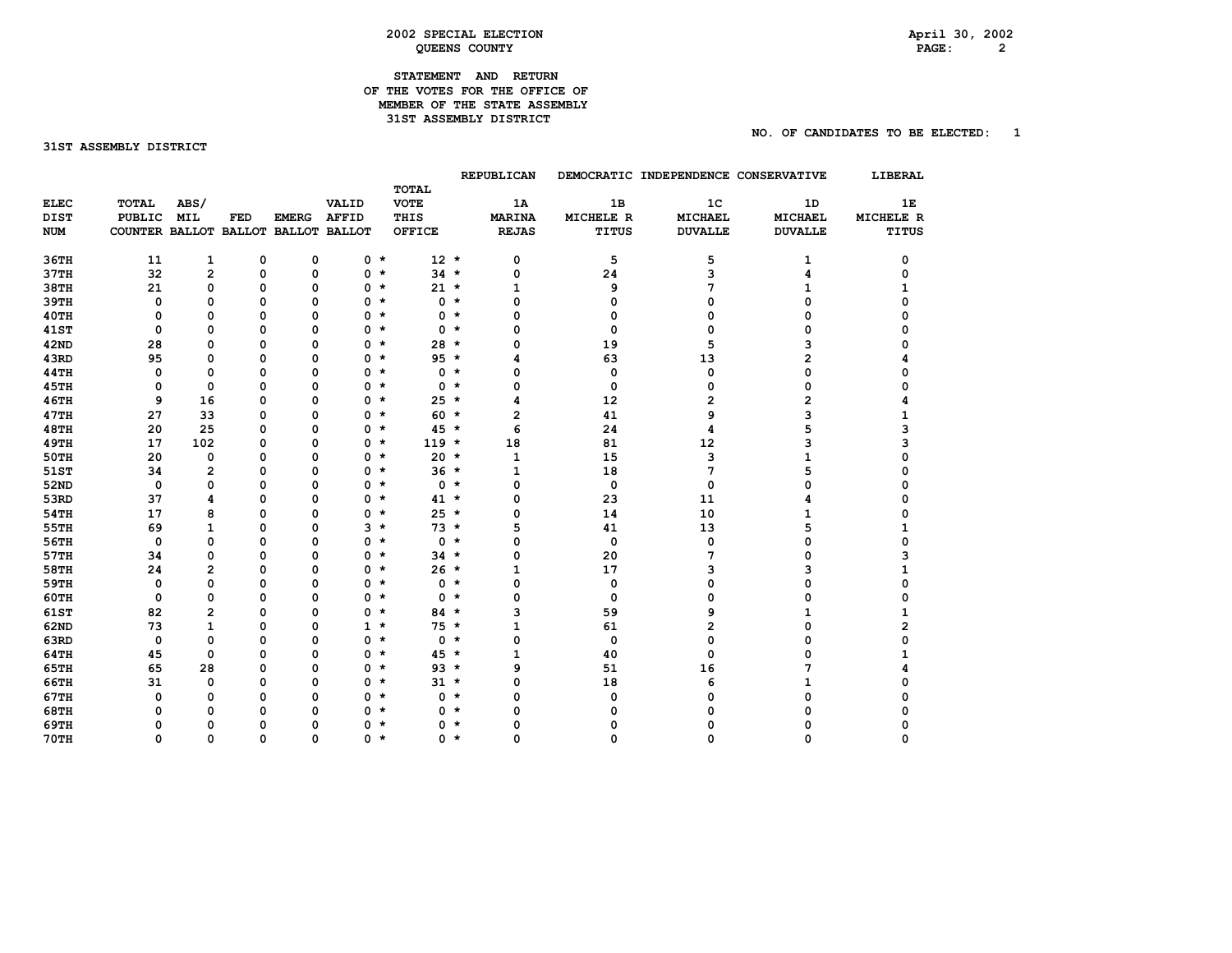## **2002 SPECIAL ELECTION April 30, 2002 QUEENS COUNTY**

## **STATEMENT AND RETURN OF THE VOTES FOR THE OFFICE OF MEMBER OF THE STATE ASSEMBLY 31STASSEMBLY DISTRICT**

#### 31ST ASSEMBLY DISTRICT

|  | STATEMENT AND |  | <b>RETURN</b>                  |  |
|--|---------------|--|--------------------------------|--|
|  |               |  | OF THE VOTES FOR THE OFFICE OF |  |
|  |               |  | MEMBER OF THE STATE ASSEMBLY   |  |

|             |                                     |                |          |              |              |               |            | REPUBLICAN    |             | DEMOCRATIC INDEPENDENCE CONSERVATIVE |                | LIBERAL      |
|-------------|-------------------------------------|----------------|----------|--------------|--------------|---------------|------------|---------------|-------------|--------------------------------------|----------------|--------------|
|             |                                     |                |          |              |              | <b>TOTAL</b>  |            |               |             |                                      |                |              |
| <b>ELEC</b> | <b>TOTAL</b>                        | ABS/           |          |              | VALID        | <b>VOTE</b>   |            | 1A            | 1B          | 1 <sup>c</sup>                       | 1D             | 1E           |
| <b>DIST</b> | <b>PUBLIC</b>                       | <b>MIL</b>     | FED      | <b>EMERG</b> | <b>AFFID</b> | THIS          |            | <b>MARINA</b> | MICHELE R   | MICHAEL                              | <b>MICHAEL</b> | MICHELE R    |
| <b>NUM</b>  | COUNTER BALLOT BALLOT BALLOT BALLOT |                |          |              |              | <b>OFFICE</b> |            | <b>REJAS</b>  | TITUS       | <b>DUVALLE</b>                       | <b>DUVALLE</b> | <b>TITUS</b> |
| 36TH        | 11                                  | $\mathbf{1}$   | 0        | 0            |              | $0 *$         | $12 *$     | 0             | 5           | 5                                    | 1              | 0            |
| 37TH        | 32                                  | $\mathbf{2}$   | $\Omega$ | 0            | $0 *$        |               | $34 *$     | 0             | 24          | 3                                    | 4              | 0            |
| <b>38TH</b> | 21                                  | 0              | 0        | 0            | $0 *$        |               | $21 *$     | 1             | 9           | 7                                    | 1              |              |
| 39TH        | $\mathbf 0$                         | 0              | $\Omega$ | $\Omega$     | 0            | $\star$       | $0 *$      | 0             | 0           | 0                                    | 0              | ŋ            |
| 40TH        | 0                                   | 0              | 0        | 0            | 0            | $\star$       | $0$ $*$    | 0             | 0           | 0                                    | 0              | n            |
| <b>41ST</b> | $\mathbf 0$                         | 0              | $\Omega$ | 0            | 0            | $\star$       | $0 *$      | 0             | $\mathbf 0$ | 0                                    | 0              | ი            |
| <b>42ND</b> | 28                                  | 0              | 0        | $\Omega$     | 0            | $\star$       | $28 *$     | 0             | 19          | 5                                    | 3              |              |
| 43RD        | 95                                  | 0              | $\Omega$ | $\Omega$     | $0 *$        |               | $95 *$     | 4             | 63          | 13                                   | 2              |              |
| <b>44TH</b> | 0                                   | 0              | 0        | $\Omega$     | $0 *$        |               | $0 *$      | 0             | 0           | 0                                    | 0              |              |
| <b>45TH</b> | 0                                   | $\Omega$       | 0        | 0            | 0            | $\star$       | $0 *$      | 0             | 0           | 0                                    | 0              |              |
| <b>46TH</b> | 9                                   | 16             | 0        | 0            | 0            | $\star$       | $25 *$     | 4             | 12          | 2                                    | $\overline{2}$ |              |
| <b>47TH</b> | 27                                  | 33             | $\Omega$ | $\mathbf 0$  |              | 0 *           | $60 *$     | $\mathbf{2}$  | 41          | 9                                    | 3              |              |
| <b>48TH</b> | 20                                  | 25             | 0        | $\Omega$     |              | 0 *           | $45 *$     | 6             | 24          | 4                                    | 5              | з            |
| <b>49TH</b> | 17                                  | 102            | 0        | 0            | $0 *$        |               | $119 *$    | 18            | 81          | 12                                   | 3              | 3            |
| <b>50TH</b> | 20                                  | 0              | 0        | $\Omega$     | $0 *$        |               | $20 *$     | 1             | 15          | 3                                    | 1              | n            |
| 51ST        | 34                                  | $\overline{2}$ | 0        | $\Omega$     | 0            | $\star$       | $36 *$     | 1             | 18          | 7                                    | 5              |              |
| 52ND        | $\mathbf 0$                         | $\Omega$       | $\Omega$ | $\Omega$     | 0            | $\star$       | $0 *$      | 0             | 0           | 0                                    | 0              | n            |
| 53RD        | 37                                  | 4              | $\Omega$ | $\Omega$     |              | 0 *           | $41 *$     | 0             | 23          | 11                                   | 4              | ი            |
| <b>54TH</b> | 17                                  | 8              | 0        | $\Omega$     | 0            | $\star$       | $25 *$     | 0             | 14          | 10                                   | 1              |              |
| 55TH        | 69                                  | $\mathbf{1}$   | 0        | 0            | $3 *$        |               | $73 *$     | 5             | 41          | 13                                   | 5              |              |
| 56TH        | 0                                   | 0              | 0        | 0            | $0 *$        |               | $0 *$      | 0             | 0           | 0                                    | 0              | O            |
| 57TH        | 34                                  | 0              | 0        | $\Omega$     | 0            | $\star$       | $34 *$     | 0             | 20          | 7                                    | 0              |              |
| <b>58TH</b> | 24                                  | $\overline{2}$ | 0        | $\Omega$     | $0 *$        |               | $26 *$     | 1             | 17          | 3                                    | 3              | 1            |
| <b>59TH</b> | 0                                   | $\Omega$       | 0        | $\Omega$     |              | 0 *           | $0 *$      | 0             | 0           | 0                                    | 0              | 0            |
| <b>60TH</b> | $\mathbf 0$                         | 0              | 0        | $\Omega$     | 0            | $\star$       | $0 *$      | 0             | 0           | 0                                    | O              | O            |
| <b>61ST</b> | 82                                  | $\overline{2}$ | 0        | 0            | $0 *$        |               | $84 *$     | 3             | 59          | 9                                    |                | 1            |
| 62ND        | 73                                  | $\mathbf{1}$   | 0        | 0            | $1 *$        |               | $75 *$     | 1             | 61          | 2                                    | 0              | 2            |
| 63RD        | $\mathbf 0$                         | 0              | $\Omega$ | $\Omega$     | 0            | $\star$       | $0 *$      | 0             | 0           | 0                                    | 0              | 0            |
| 64TH        | 45                                  | $\mathbf 0$    | 0        | 0            | 0            | $\star$       | $45 *$     | $\mathbf{1}$  | 40          | 0                                    | 0              | 1            |
| <b>65TH</b> | 65                                  | 28             | 0        | 0            |              | 0 *           | $93 *$     | 9             | 51          | 16                                   | 7              |              |
| <b>66TH</b> | 31                                  | 0              | 0        | 0            |              | 0 *           | $31 \star$ | 0             | 18          | 6                                    |                |              |
| <b>67TH</b> | 0                                   | 0              | 0        | 0            | $0 *$        |               | $0 *$      | 0             | 0           | 0                                    | 0              |              |
| <b>68TH</b> | 0                                   | 0              | 0        | $\Omega$     | 0            | $\star$       | $0 *$      | $\Omega$      | 0           | n                                    | O              |              |
| 69TH        | 0                                   | 0              | 0        | $\Omega$     | 0            | $\star$       | $0 *$      | o             | 0           | n                                    | ŋ              |              |
| <b>70TH</b> | $\Omega$                            | $\Omega$       | $\Omega$ | $\Omega$     | $0 *$        |               | $0 *$      | $\Omega$      | $\Omega$    | 0                                    | $\Omega$       | O            |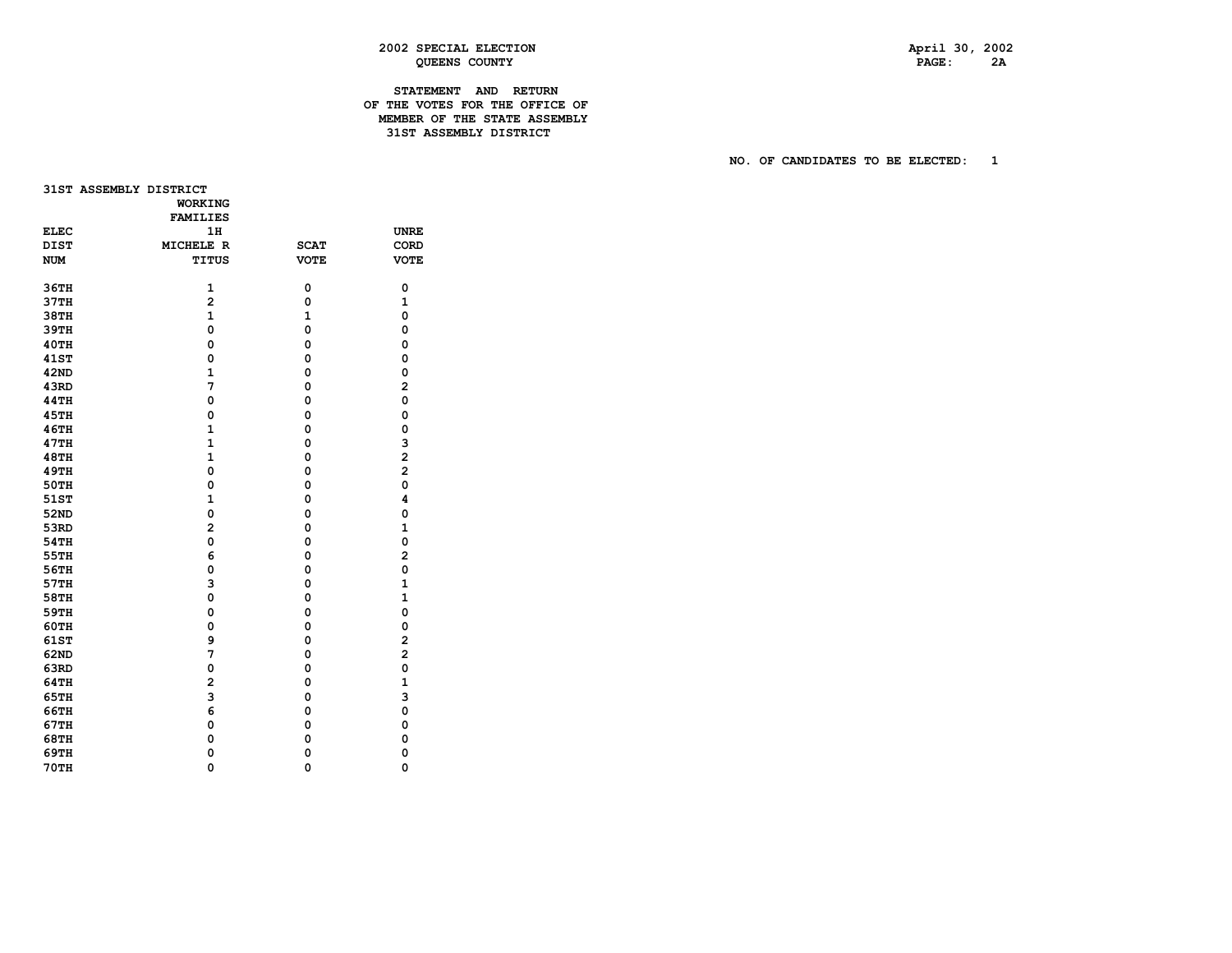## **2002 SPECIAL ELECTION April 30, 2002 QUEENS COUNTY PAGE: 2A**

## **STATEMENT AND RETURN OF THE VOTES FOR THE OFFICE OF MEMBER OF THE STATE ASSEMBLY 31ST ASSEMBLY DISTRICT**

|             | 31ST ASSEMBLY DISTRICT | <b>WORKING</b><br><b>FAMILIES</b> |              |                         |
|-------------|------------------------|-----------------------------------|--------------|-------------------------|
| <b>ELEC</b> |                        | 1H                                |              | <b>UNRE</b>             |
| <b>DIST</b> |                        | MICHELE R                         | <b>SCAT</b>  | CORD                    |
| <b>NUM</b>  |                        | TITUS                             | <b>VOTE</b>  | <b>VOTE</b>             |
|             |                        |                                   |              |                         |
| 36TH        |                        | 1                                 | 0            | 0                       |
| 37TH        |                        | $\overline{a}$                    | 0            | 1                       |
| 38TH        |                        | $\mathbf{1}$                      | $\mathbf{1}$ | 0                       |
| 39TH        |                        | 0                                 | 0            | 0                       |
| 40TH        |                        | $\mathbf 0$                       | 0            | 0                       |
| <b>41ST</b> |                        | $\mathbf 0$                       | 0            | 0                       |
| 42ND        |                        | $\mathbf{1}$                      | 0            | 0                       |
| 43RD        |                        | 7                                 | 0            | $\overline{2}$          |
| <b>44TH</b> |                        | $\mathbf 0$                       | 0            | $\mathbf 0$             |
| 45TH        |                        | $\mathbf 0$                       | 0            | 0                       |
| 46TH        |                        | $\mathbf{1}$                      | 0            | 0                       |
| 47TH        |                        | $\mathbf{1}$                      | 0            | 3                       |
| 48TH        |                        | $\mathbf{1}$                      | 0            | $\overline{\mathbf{c}}$ |
| <b>49TH</b> |                        | $\mathbf 0$                       | 0            | $\overline{a}$          |
| 50TH        |                        | 0                                 | 0            | 0                       |
| 51ST        |                        | $\mathbf{1}$                      | 0            | 4                       |
| 52ND        |                        | 0                                 | 0            | 0                       |
| 53RD        |                        | $\overline{a}$                    | 0            | $\mathbf{1}$            |
| <b>54TH</b> |                        | $\mathbf 0$                       | 0            | $\mathbf 0$             |
| 55TH        |                        | 6                                 | 0            | $\overline{a}$          |
| 56TH        |                        | 0                                 | 0            | 0                       |
| 57TH        |                        | 3                                 | 0            | $\mathbf{1}$            |
| 58TH        |                        | $\mathbf 0$                       | 0            | $\mathbf{1}$            |
| 59TH        |                        | $\mathbf 0$                       | 0            | 0                       |
| <b>60TH</b> |                        | 0                                 | 0            | 0                       |
| 61ST        |                        | 9                                 | 0            | $\overline{2}$          |
| 62ND        |                        | 7                                 | 0            | $\overline{a}$          |
| 63RD        |                        | $\mathbf 0$                       | 0            | $\mathbf 0$             |
| 64TH        |                        | $\overline{a}$                    | 0            | $\mathbf{1}$            |
| 65TH        |                        | 3                                 | 0            | 3                       |
| 66TH        |                        | 6                                 | 0            | 0                       |
| 67TH        |                        | 0                                 | 0            | 0                       |
| 68TH        |                        | 0                                 | 0            | 0                       |
| 69TH        |                        | 0                                 | 0            | 0                       |
| <b>70TH</b> |                        | 0                                 | 0            | $\Omega$                |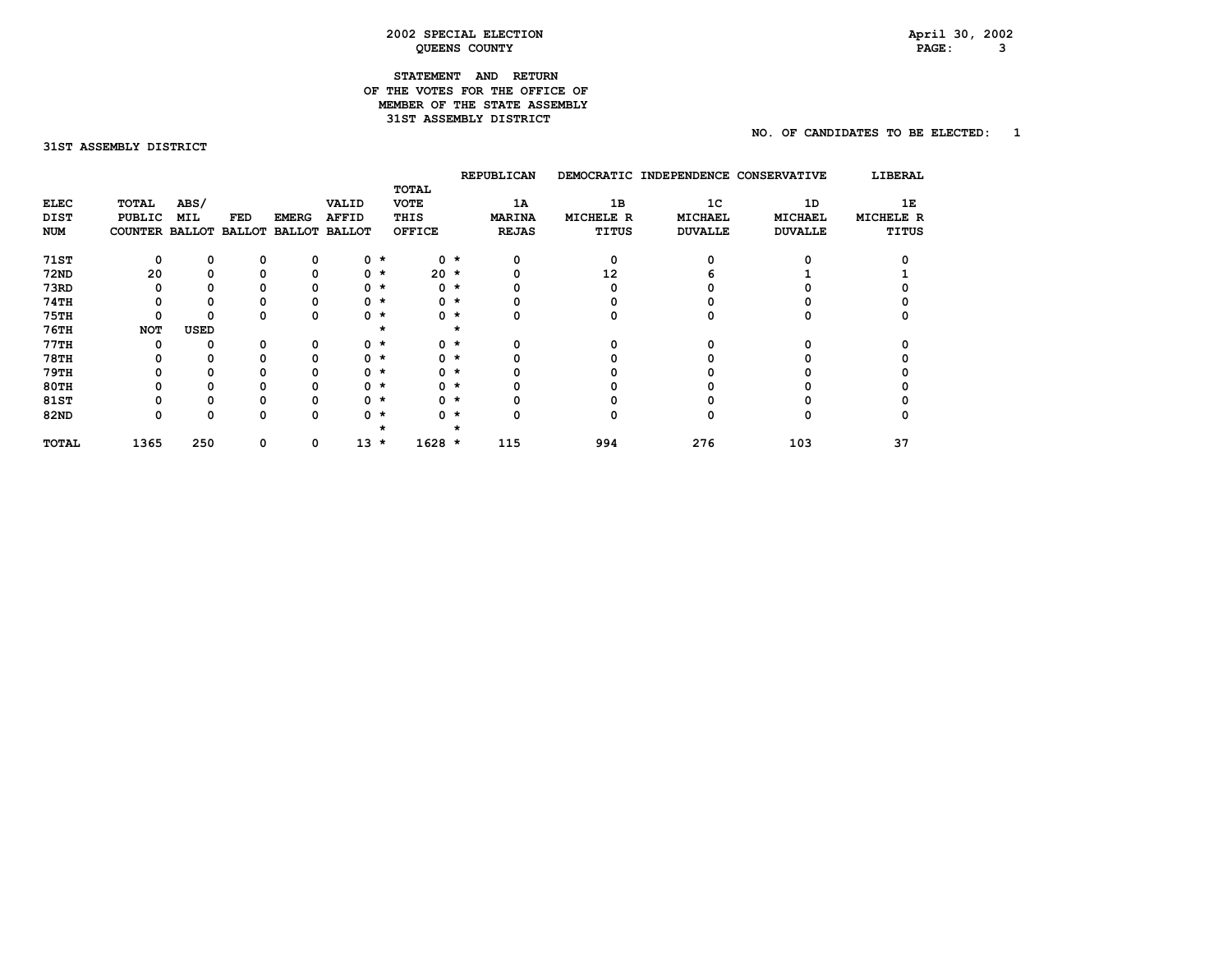## **2002 SPECIAL ELECTION April 30, 2002 QUEENS COUNTY PAGE: 3**

## **STATEMENT AND RETURN OF THE VOTES FOR THE OFFICE OF MEMBER OF THE STATE ASSEMBLY 31ST ASSEMBLY DISTRICT**

## **NO. OF CANDIDATES TO BE ELECTED: 1**

31ST ASSEMBLY DISTRICT

|              |                |            |               |              |                      |             |               |         | <b>REPUBLICAN</b> | <b>DEMOCRATIC</b> | INDEPENDENCE   | <b>CONSERVATIVE</b> | LIBERAL      |
|--------------|----------------|------------|---------------|--------------|----------------------|-------------|---------------|---------|-------------------|-------------------|----------------|---------------------|--------------|
|              |                |            |               |              |                      |             | TOTAL         |         |                   |                   |                |                     |              |
| <b>ELEC</b>  | TOTAL          | ABS/       |               |              | VALID                |             | <b>VOTE</b>   |         | 1A                | 1B                | 1 <sup>C</sup> | 1D                  | 1Е           |
| DIST         | <b>PUBLIC</b>  | <b>MIL</b> | FED           | <b>EMERG</b> | <b>AFFID</b>         |             | THIS          |         | <b>MARINA</b>     | MICHELE R         | <b>MICHAEL</b> | <b>MICHAEL</b>      | MICHELE R    |
| <b>NUM</b>   | COUNTER BALLOT |            | <b>BALLOT</b> |              | <b>BALLOT BALLOT</b> |             | <b>OFFICE</b> |         | <b>REJAS</b>      | <b>TITUS</b>      | <b>DUVALLE</b> | <b>DUVALLE</b>      | <b>TITUS</b> |
| <b>71ST</b>  | 0              | 0          | 0             | 0            |                      | $0 *$       |               | $0 *$   | 0                 | 0                 | n              |                     |              |
| <b>72ND</b>  | 20             | 0          |               | 0            |                      | $0$ $\star$ | $20 *$        |         |                   | 12                |                |                     |              |
| 73RD         | O              | 0          |               |              |                      | $0 *$       | $\mathbf 0$   | $\star$ |                   | O                 |                |                     |              |
| <b>74TH</b>  |                | 0          |               |              |                      | $0 *$       |               | $0 *$   |                   |                   |                |                     |              |
| <b>75TH</b>  | 0              | 0          | O             | 0            |                      | 0 *         |               | $0 *$   |                   |                   | n              |                     |              |
| 76TH         | <b>NOT</b>     | USED       |               |              |                      | $\star$     |               | 大       |                   |                   |                |                     |              |
| 77TH         | O              | 0          | o             | 0            |                      | 0 *         |               | $0 *$   |                   |                   | n              |                     |              |
| <b>78TH</b>  |                | 0          |               | 0            |                      | 0 *         |               | $0 *$   |                   |                   |                |                     |              |
| 79TH         | 0              | 0          |               | 0            |                      | 0 *         |               | $0 *$   |                   |                   |                |                     |              |
| 80TH         | 0              | 0          |               | 0            |                      | 0 *         |               | $0 *$   |                   |                   |                |                     |              |
| 81ST         | 0              | 0          |               | 0            |                      | 0 *         |               | $0 *$   |                   |                   |                |                     |              |
| 82ND         | 0              | 0          | $\Omega$      | 0            |                      | 0 *         |               | $0 *$   |                   | 0                 | o              | O                   |              |
|              |                |            |               |              |                      |             |               |         |                   |                   |                |                     |              |
| <b>TOTAL</b> | 1365           | 250        | 0             | 0            | 13                   | $\star$     | $1628 *$      |         | 115               | 994               | 276            | 103                 | 37           |